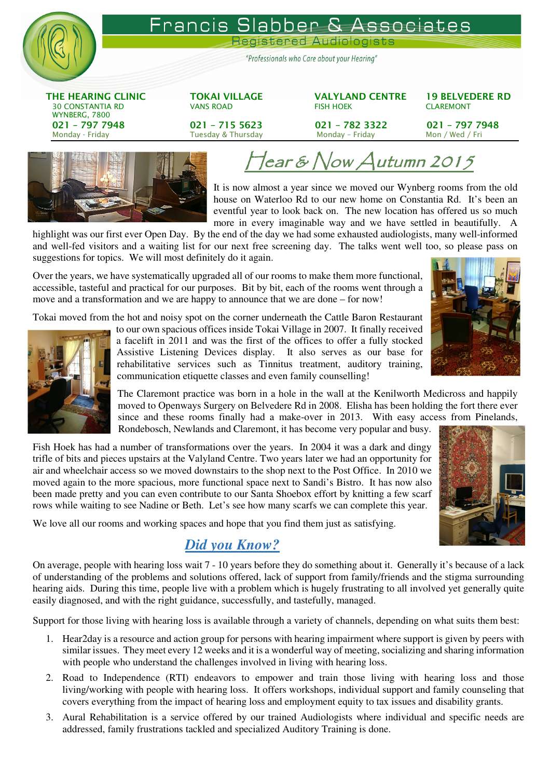

#### Francis S ssociates  $n$ en

Registered Audiologists

"Professionals who Care about your Hearing"

THE HEARING CLINIC TOKAI VILLAGE VALYLAND CENTRE 19 BELVEDERE RD 30 CONSTANTIA RD VANS ROAD FISH HOEK CLAREMONT WYNBERG, 7800 021 – 797 7948 021 – 715 5623 021 – 782 3322 021 – 797 7948 Monday - Friday Monday – Friday Monday – Friday Monday – Friday Mon / Wed / Fri



# $\tan \varepsilon$  Now Autumn 2015

It is now almost a year since we moved our Wynberg rooms from the old house on Waterloo Rd to our new home on Constantia Rd. It's been an eventful year to look back on. The new location has offered us so much more in every imaginable way and we have settled in beautifully. A

highlight was our first ever Open Day. By the end of the day we had some exhausted audiologists, many well-informed and well-fed visitors and a waiting list for our next free screening day. The talks went well too, so please pass on suggestions for topics. We will most definitely do it again.

Over the years, we have systematically upgraded all of our rooms to make them more functional, accessible, tasteful and practical for our purposes. Bit by bit, each of the rooms went through a move and a transformation and we are happy to announce that we are done – for now!

Tokai moved from the hot and noisy spot on the corner underneath the Cattle Baron Restaurant



to our own spacious offices inside Tokai Village in 2007. It finally received a facelift in 2011 and was the first of the offices to offer a fully stocked Assistive Listening Devices display. It also serves as our base for rehabilitative services such as Tinnitus treatment, auditory training, communication etiquette classes and even family counselling!

The Claremont practice was born in a hole in the wall at the Kenilworth Medicross and happily moved to Openways Surgery on Belvedere Rd in 2008. Elisha has been holding the fort there ever since and these rooms finally had a make-over in 2013. With easy access from Pinelands, Rondebosch, Newlands and Claremont, it has become very popular and busy.

Fish Hoek has had a number of transformations over the years. In 2004 it was a dark and dingy trifle of bits and pieces upstairs at the Valyland Centre. Two years later we had an opportunity for air and wheelchair access so we moved downstairs to the shop next to the Post Office. In 2010 we moved again to the more spacious, more functional space next to Sandi's Bistro. It has now also been made pretty and you can even contribute to our Santa Shoebox effort by knitting a few scarf rows while waiting to see Nadine or Beth. Let's see how many scarfs we can complete this year.

We love all our rooms and working spaces and hope that you find them just as satisfying.

# *Did you Know?*

On average, people with hearing loss wait 7 - 10 years before they do something about it. Generally it's because of a lack of understanding of the problems and solutions offered, lack of support from family/friends and the stigma surrounding hearing aids. During this time, people live with a problem which is hugely frustrating to all involved yet generally quite easily diagnosed, and with the right guidance, successfully, and tastefully, managed.

Support for those living with hearing loss is available through a variety of channels, depending on what suits them best:

- 1. Hear2day is a resource and action group for persons with hearing impairment where support is given by peers with similar issues. They meet every 12 weeks and it is a wonderful way of meeting, socializing and sharing information with people who understand the challenges involved in living with hearing loss.
- 2. Road to Independence (RTI) endeavors to empower and train those living with hearing loss and those living/working with people with hearing loss. It offers workshops, individual support and family counseling that covers everything from the impact of hearing loss and employment equity to tax issues and disability grants.
- 3. Aural Rehabilitation is a service offered by our trained Audiologists where individual and specific needs are addressed, family frustrations tackled and specialized Auditory Training is done.